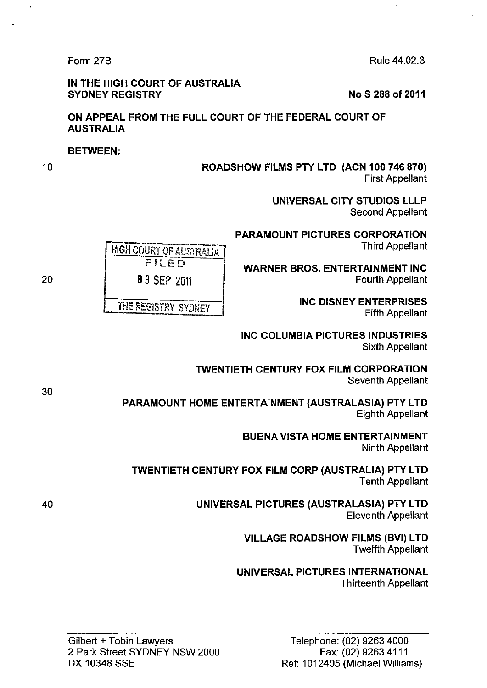Form 27B Rule 44.02.3

#### IN THE HIGH COURT OF AUSTRALIA SYDNEY REGISTRY No S 288 of 2011

# ON APPEAL FROM THE FULL COURT OF THE FEDERAL COURT OF AUSTRALIA

## BETWEEN:

10

## ROADSHOW FILMS PTY LTD (ACN 100 746 870) First Appellant

UNIVERSAL CITY STUDIOS LLLP Second Appellant

PARAMOUNT PICTURES CORPORATION Third Appellant

WARNER BROS. ENTERTAINMENT INC 0 9 SEP 2011 **Fourth Appellant** 

THE REGISTRY SYDNEY **INC DISNEY ENTERPRISES** Fifth Appellant

> INC COLUMBIA PICTURES INDUSTRIES Sixth Appellant

TWENTIETH CENTURY FOX FILM CORPORATION Seventh Appellant

PARAMOUNT HOME ENTERTAINMENT (AUSTRALASIA) PTY LTD Eighth Appellant

> BUENA VISTA HOME ENTERTAINMENT Ninth Appellant

TWENTIETH CENTURY FOX FILM CORP (AUSTRALIA) PTY LTD Tenth Appellant

> UNIVERSAL PICTURES (AUSTRALASIA) PTY LTD Eleventh Appellant

> > VILLAGE ROADSHOW FILMS (BVI) LTD Twelfth Appellant

UNIVERSAL PICTURES INTERNATIONAL Thirteenth Appellant

**HIGH COURT OF AUSTRALIA** FILED

30

20

40

Gilbert + Tobin Lawyers 2 Park Street SYDNEY NSW 2000 DX 10348 SSE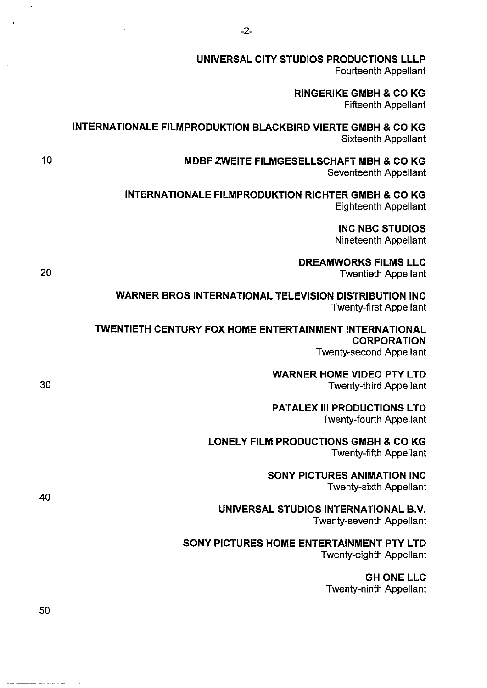| UNIVERSAL CITY STUDIOS PRODUCTIONS LLLP<br><b>Fourteenth Appellant</b>                                    |    |
|-----------------------------------------------------------------------------------------------------------|----|
| <b>RINGERIKE GMBH &amp; CO KG</b><br><b>Fifteenth Appellant</b>                                           |    |
| <b>INTERNATIONALE FILMPRODUKTION BLACKBIRD VIERTE GMBH &amp; CO KG</b><br><b>Sixteenth Appellant</b>      |    |
| <b>MDBF ZWEITE FILMGESELLSCHAFT MBH &amp; CO KG</b><br>Seventeenth Appellant                              | 10 |
| <b>INTERNATIONALE FILMPRODUKTION RICHTER GMBH &amp; CO KG</b><br><b>Eighteenth Appellant</b>              |    |
| <b>INC NBC STUDIOS</b><br><b>Nineteenth Appellant</b>                                                     |    |
| <b>DREAMWORKS FILMS LLC</b><br><b>Twentieth Appellant</b>                                                 | 20 |
| <b>WARNER BROS INTERNATIONAL TELEVISION DISTRIBUTION INC</b><br><b>Twenty-first Appellant</b>             |    |
| <b>TWENTIETH CENTURY FOX HOME ENTERTAINMENT INTERNATIONAL</b><br><b>CORPORATION</b>                       |    |
| <b>Twenty-second Appellant</b><br><b>WARNER HOME VIDEO PTY LTD</b><br>30<br><b>Twenty-third Appellant</b> |    |
| <b>PATALEX III PRODUCTIONS LTD</b><br><b>Twenty-fourth Appellant</b>                                      |    |
| <b>LONELY FILM PRODUCTIONS GMBH &amp; CO KG</b><br><b>Twenty-fifth Appellant</b>                          | 40 |
| <b>SONY PICTURES ANIMATION INC</b><br><b>Twenty-sixth Appellant</b>                                       |    |
| UNIVERSAL STUDIOS INTERNATIONAL B.V.<br><b>Twenty-seventh Appellant</b>                                   |    |
| SONY PICTURES HOME ENTERTAINMENT PTY LTD<br><b>Twenty-eighth Appellant</b>                                |    |
| <b>GH ONE LLC</b><br><b>Twenty-ninth Appellant</b>                                                        |    |
|                                                                                                           | 50 |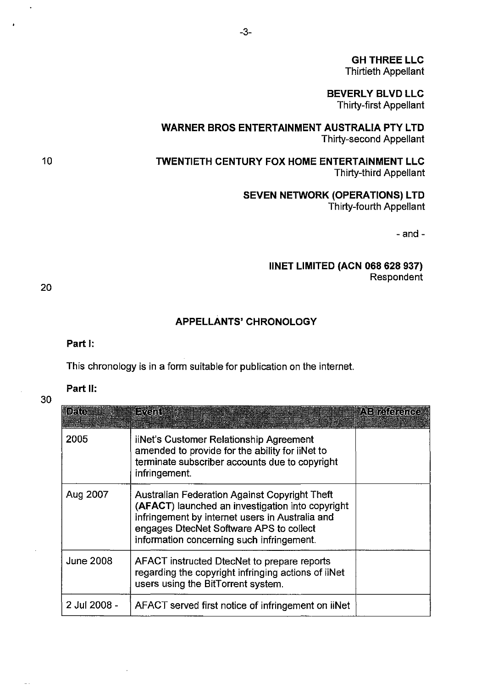**GH THREE LLC**  Thirtieth Appellant

**BEVERLY BLVD LLC**  Thirty-first Appellant

**WARNER BROS ENTERTAINMENT AUSTRALIA PTY LTD**  Thirty-second Appellant

**TWENTIETH CENTURY FOX HOME ENTERTAINMENT LLC**  Thirty-third Appellant

> **SEVEN NETWORK (OPERATIONS) LTD**  Thirty-fourth Appellant

> > -and-

## **IINET LIMITED (ACN 068 628 937)**  Respondent

20

30

10

## **APPELLANTS' CHRONOLOGY**

**Part 1:** 

This chronology is in a form suitable for publication on the internet.

## **Part II:**

| <b>BBA</b>       | FV-III                                                                                                                                                                                                                                              | ABRAQORO |
|------------------|-----------------------------------------------------------------------------------------------------------------------------------------------------------------------------------------------------------------------------------------------------|----------|
| 2005             | iiNet's Customer Relationship Agreement<br>amended to provide for the ability for iiNet to<br>terminate subscriber accounts due to copyright<br>infringement.                                                                                       |          |
| Aug 2007         | <b>Australian Federation Against Copyright Theft</b><br>(AFACT) launched an investigation into copyright<br>infringement by internet users in Australia and<br>engages DiecNet Software APS to collect<br>information concerning such infringement. |          |
| <b>June 2008</b> | AFACT instructed DtecNet to prepare reports<br>regarding the copyright infringing actions of iiNet<br>users using the BitTorrent system.                                                                                                            |          |
| 2 Jul 2008 -     | AFACT served first notice of infringement on iiNet                                                                                                                                                                                                  |          |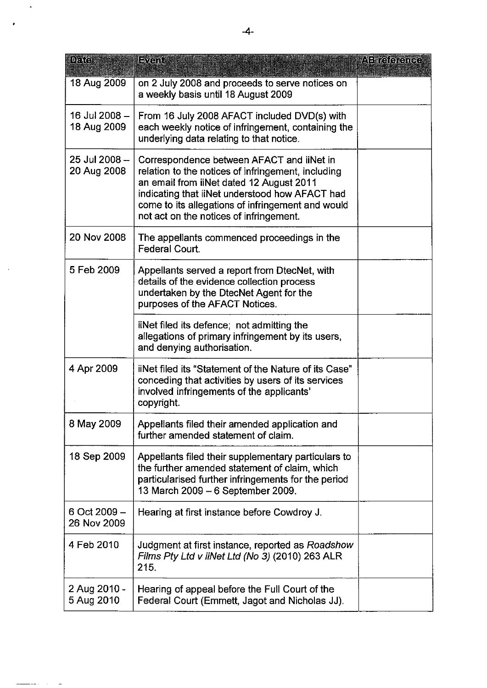| $\mathbb{D}_{\mathcal{E}}$ (c) | Event                                                                                                                                                                                                                                                                                         | AB reference |
|--------------------------------|-----------------------------------------------------------------------------------------------------------------------------------------------------------------------------------------------------------------------------------------------------------------------------------------------|--------------|
| 18 Aug 2009                    | on 2 July 2008 and proceeds to serve notices on<br>a weekly basis until 18 August 2009                                                                                                                                                                                                        |              |
| 16 Jul 2008 -<br>18 Aug 2009   | From 16 July 2008 AFACT included DVD(s) with<br>each weekly notice of infringement, containing the<br>underlying data relating to that notice.                                                                                                                                                |              |
| 25 Jul 2008 -<br>20 Aug 2008   | Correspondence between AFACT and liNet in<br>relation to the notices of infringement, including<br>an email from iiNet dated 12 August 2011<br>indicating that iiNet understood how AFACT had<br>come to its allegations of infringement and would<br>not act on the notices of infringement. |              |
| 20 Nov 2008                    | The appellants commenced proceedings in the<br>Federal Court.                                                                                                                                                                                                                                 |              |
| 5 Feb 2009                     | Appellants served a report from DtecNet, with<br>details of the evidence collection process<br>undertaken by the DtecNet Agent for the<br>purposes of the AFACT Notices.                                                                                                                      |              |
|                                | iiNet filed its defence; not admitting the<br>allegations of primary infringement by its users,<br>and denying authorisation.                                                                                                                                                                 |              |
| 4 Apr 2009                     | iiNet filed its "Statement of the Nature of its Case"<br>conceding that activities by users of its services<br>involved infringements of the applicants'<br>copyright.                                                                                                                        |              |
| 8 May 2009                     | Appellants filed their amended application and<br>further amended statement of claim.                                                                                                                                                                                                         |              |
| 18 Sep 2009                    | Appellants filed their supplementary particulars to<br>the further amended statement of claim, which<br>particularised further infringements for the period<br>13 March 2009 - 6 September 2009.                                                                                              |              |
| 6 Oct 2009 -<br>26 Nov 2009    | Hearing at first instance before Cowdroy J.                                                                                                                                                                                                                                                   |              |
| 4 Feb 2010                     | Judgment at first instance, reported as Roadshow<br>Films Pty Ltd v iiNet Ltd (No 3) (2010) 263 ALR<br>215.                                                                                                                                                                                   |              |
| 2 Aug 2010 -<br>5 Aug 2010     | Hearing of appeal before the Full Court of the<br>Federal Court (Emmett, Jagot and Nicholas JJ).                                                                                                                                                                                              |              |